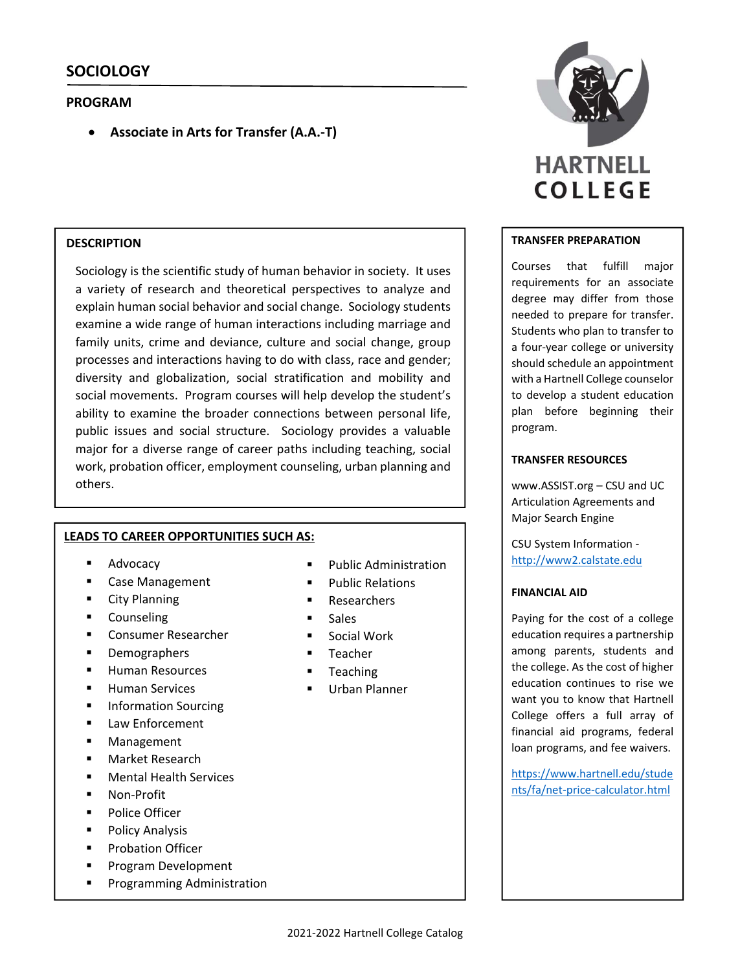### **PROGRAM**

**Associate in Arts for Transfer (A.A.‐T)**

### **DESCRIPTION**

Sociology is the scientific study of human behavior in society. It uses a variety of research and theoretical perspectives to analyze and explain human social behavior and social change. Sociology students examine a wide range of human interactions including marriage and family units, crime and deviance, culture and social change, group processes and interactions having to do with class, race and gender; diversity and globalization, social stratification and mobility and social movements. Program courses will help develop the student's ability to examine the broader connections between personal life, public issues and social structure. Sociology provides a valuable major for a diverse range of career paths including teaching, social work, probation officer, employment counseling, urban planning and others.

#### **LEADS TO CAREER OPPORTUNITIES SUCH AS:**

- Advocacy
- **E** Case Management
- City Planning
- **Counseling**
- Consumer Researcher
- **Demographers**
- Human Resources
- Human Services
- Information Sourcing
- Law Enforcement
- **Management**
- Market Research
- Mental Health Services
- Non‐Profit
- Police Officer
- Policy Analysis
- **Probation Officer**
- **Program Development**
- **Programming Administration**
- Public Administration
- Public Relations
- Researchers
- Sales
- **Social Work**
- **Teacher**
- Teaching
- Urban Planner



#### **TRANSFER PREPARATION**

Courses that fulfill major requirements for an associate degree may differ from those needed to prepare for transfer. Students who plan to transfer to a four‐year college or university should schedule an appointment with a Hartnell College counselor to develop a student education plan before beginning their program.

### **TRANSFER RESOURCES**

www.ASSIST.org – CSU and UC Articulation Agreements and Major Search Engine

CSU System Information ‐ http://www2.calstate.edu

#### **FINANCIAL AID**

Paying for the cost of a college education requires a partnership among parents, students and the college. As the cost of higher education continues to rise we want you to know that Hartnell College offers a full array of financial aid programs, federal loan programs, and fee waivers.

https://www.hartnell.edu/stude nts/fa/net‐price‐calculator.html